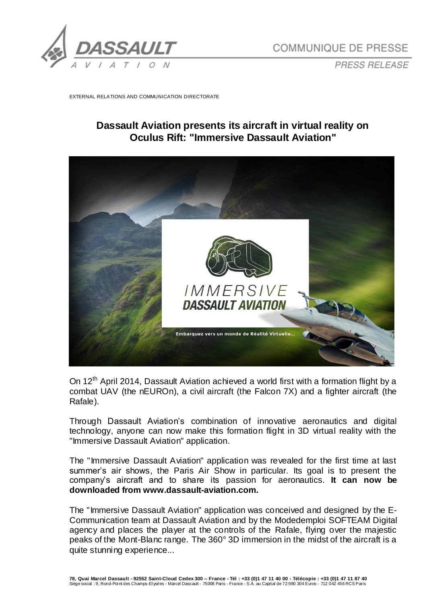

*PRESS RELEASE*

EXTERNAL RELATIONS AND COMMUNICATION DIRECTORATE

## **Dassault Aviation presents its aircraft in virtual reality on Oculus Rift: "Immersive Dassault Aviation"**



On 12<sup>th</sup> April 2014, Dassault Aviation achieved a world first with a formation flight by a combat UAV (the nEUROn), a civil aircraft (the Falcon 7X) and a fighter aircraft (the Rafale).

Through Dassault Aviation's combination of innovative aeronautics and digital technology, anyone can now make this formation flight in 3D virtual reality with the "Immersive Dassault Aviation" application.

The "Immersive Dassault Aviation" application was revealed for the first time at last summer's air shows, the Paris Air Show in particular. Its goal is to present the company's aircraft and to share its passion for aeronautics. **It can now be downloaded from www.dassault-aviation.com.**

The "Immersive Dassault Aviation" application was conceived and designed by the E-Communication team at Dassault Aviation and by the Modedemploi SOFTEAM Digital agency and places the player at the controls of the Rafale, flying over the majestic peaks of the Mont-Blanc range. The 360° 3D immersion in the midst of the aircraft is a quite stunning experience...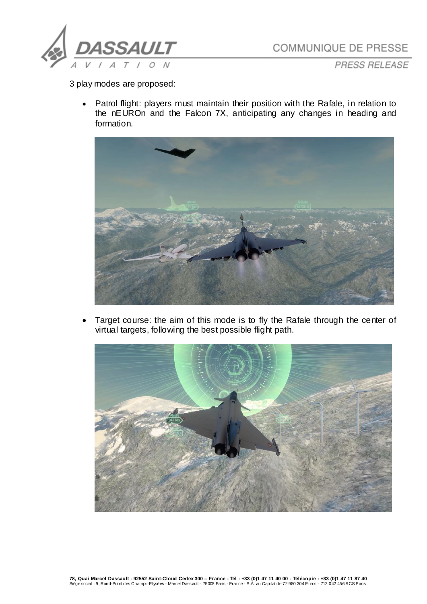

COMMUNIQUE DE PRESSE

PRESS RELEASE

3 play modes are proposed:

• Patrol flight: players must maintain their position with the Rafale, in relation to the nEUROn and the Falcon 7X, anticipating any changes in heading and formation.



 Target course: the aim of this mode is to fly the Rafale through the center of virtual targets, following the best possible flight path.